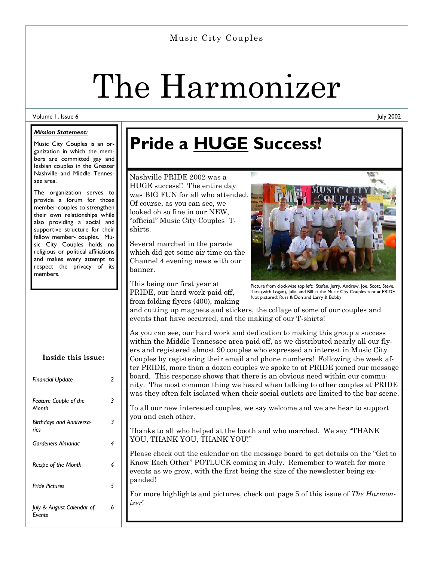### Music City Couples

# The Harmonizer

#### Volume 1, Issue 6

#### *Mission Statement:*

Music City Couples is an organization in which the members are committed gay and lesbian couples in the Greater Nashville and Middle Tennessee area.

The organization serves to provide a forum for those member-couples to strengthen their own relationships while also providing a social and supportive structure for their fellow member- couples. Music City Couples holds no religious or political affiliations and makes every attempt to respect the privacy of its members.

| Inside this issue:                    |   |
|---------------------------------------|---|
| Financial Update                      | 2 |
| <b>Feature Couple of the</b><br>Month | 3 |
| Birthdays and Anniversa-<br>ries      | 3 |
| Gardeners Almanac                     | 4 |
| Recipe of the Month                   | 4 |
| <b>Pride Pictures</b>                 | 5 |
| July & August Calendar of<br>Events   | 6 |

# **Pride a HUGE Success!**

Nashville PRIDE 2002 was a HUGE success!! The entire day was BIG FUN for all who attended. Of course, as you can see, we looked oh so fine in our NEW, "official" Music City Couples Tshirts.

Several marched in the parade which did get some air time on the Channel 4 evening news with our banner.

This being our first year at PRIDE, our hard work paid off, from folding flyers (400), making



Picture from clockwise top left: Stefen, Jerry, Andrew, Joe, Scott, Steve, Tara (with Logan), Julia, and Bill at the Music City Couples tent at PRIDE. Not pictured: Russ & Don and Larry & Bobby

and cutting up magnets and stickers, the collage of some of our couples and events that have occurred, and the making of our T-shirts!

As you can see, our hard work and dedication to making this group a success within the Middle Tennessee area paid off, as we distributed nearly all our flyers and registered almost 90 couples who expressed an interest in Music City Couples by registering their email and phone numbers! Following the week after PRIDE, more than a dozen couples we spoke to at PRIDE joined our message board. This response shows that there is an obvious need within our community. The most common thing we heard when talking to other couples at PRIDE was they often felt isolated when their social outlets are limited to the bar scene.

To all our new interested couples, we say welcome and we are hear to support you and each other.

Thanks to all who helped at the booth and who marched. We say "THANK YOU, THANK YOU, THANK YOU!"

Please check out the calendar on the message board to get details on the "Get to Know Each Other" POTLUCK coming in July. Remember to watch for more events as we grow, with the first being the size of the newsletter being expanded!

For more highlights and pictures, check out page 5 of this issue of *The Harmonizer*!

July 2002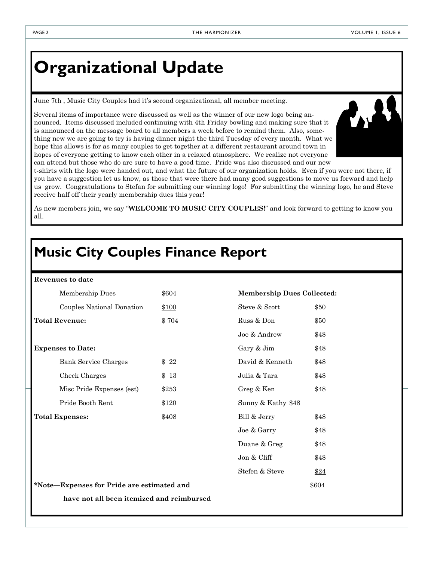## **Organizational Update**

June 7th , Music City Couples had it's second organizational, all member meeting.

Several items of importance were discussed as well as the winner of our new logo being announced. Items discussed included continuing with 4th Friday bowling and making sure that it is announced on the message board to all members a week before to remind them. Also, something new we are going to try is having dinner night the third Tuesday of every month. What we hope this allows is for as many couples to get together at a different restaurant around town in hopes of everyone getting to know each other in a relaxed atmosphere. We realize not everyone can attend but those who do are sure to have a good time. Pride was also discussed and our new



t-shirts with the logo were handed out, and what the future of our organization holds. Even if you were not there, if you have a suggestion let us know, as those that were there had many good suggestions to move us forward and help us grow. Congratulations to Stefan for submitting our winning logo! For submitting the winning logo, he and Steve receive half off their yearly membership dues this year!

As new members join, we say "**WELCOME TO MUSIC CITY COUPLES!**" and look forward to getting to know you all.

### **Music City Couples Finance Report**

#### **Revenues to date**

| Membership Dues             | \$604 | <b>Membership Dues Collected:</b> |
|-----------------------------|-------|-----------------------------------|
| Couples National Donation   | \$100 | Steve & Scott<br>\$50             |
| <b>Total Revenue:</b>       | \$704 | Russ & Don<br>\$50                |
|                             |       | Joe & Andrew<br>\$48              |
| <b>Expenses to Date:</b>    |       | Gary & Jim<br>\$48                |
| <b>Bank Service Charges</b> | \$22  | David & Kenneth<br>\$48           |
| Check Charges               | \$13  | Julia & Tara<br>\$48              |
| Misc Pride Expenses (est)   | \$253 | \$48<br>Greg & Ken                |
| Pride Booth Rent            | \$120 | Sunny & Kathy \$48                |
| <b>Total Expenses:</b>      | \$408 | Bill & Jerry<br>\$48              |
|                             |       | Joe & Garry<br>\$48               |
|                             |       | Duane & Greg<br>\$48              |
|                             |       | Jon & Cliff<br>\$48               |
|                             |       | Stefen & Steve<br>\$24            |

**\*Note—Expenses for Pride are estimated and** \$604 **have not all been itemized and reimbursed**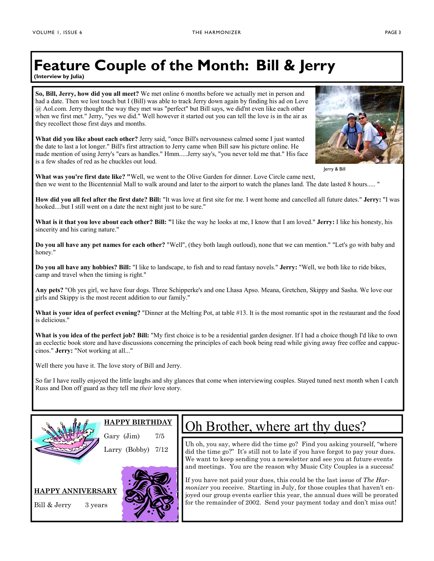# **Feature Couple of the Month: Bill & Jerry**

**(Interview by Julia)** 

**So, Bill, Jerry, how did you all meet?** We met online 6 months before we actually met in person and had a date. Then we lost touch but I (Bill) was able to track Jerry down again by finding his ad on Love @ Aol.com. Jerry thought the way they met was "perfect" but Bill says, we did'nt even like each other when we first met." Jerry, "yes we did." Well however it started out you can tell the love is in the air as they recollect those first days and months.

**What did you like about each other?** Jerry said, "once Bill's nervousness calmed some I just wanted the date to last a lot longer." Bill's first attraction to Jerry came when Bill saw his picture online. He made mention of using Jerry's "ears as handles." Hmm.....Jerry say's, "you never told me that." His face is a few shades of red as he chuckles out loud.



Jerry & Bill

**What was you're first date like? "**Well, we went to the Olive Garden for dinner. Love Circle came next, then we went to the Bicentennial Mall to walk around and later to the airport to watch the planes land. The date lasted 8 hours..... "

**How did you all feel after the first date? Bill:** "It was love at first site for me. I went home and cancelled all future dates." **Jerry:** "I was hooked....but I still went on a date the next night just to be sure."

**What is it that you love about each other? Bill: "**I like the way he looks at me, I know that I am loved." **Jerry:** I like his honesty, his sincerity and his caring nature."

**Do you all have any pet names for each other?** "Well", (they both laugh outloud), none that we can mention." "Let's go with baby and honey."

**Do you all have any hobbies? Bill:** "I like to landscape, to fish and to read fantasy novels." **Jerry:** "Well, we both like to ride bikes, camp and travel when the timing is right."

**Any pets?** "Oh yes girl, we have four dogs. Three Schipperke's and one Lhasa Apso. Meana, Gretchen, Skippy and Sasha. We love our girls and Skippy is the most recent addition to our family."

**What is your idea of perfect evening?** "Dinner at the Melting Pot, at table #13. It is the most romantic spot in the restaurant and the food is delicious."

**What is you idea of the perfect job? Bill:** "My first choice is to be a residential garden designer. If I had a choice though I'd like to own an ecclectic book store and have discussions concerning the principles of each book being read while giving away free coffee and cappuccinos." **Jerry:** "Not working at all..."

Well there you have it. The love story of Bill and Jerry.

So far I have really enjoyed the little laughs and shy glances that come when interviewing couples. Stayed tuned next month when I catch Russ and Don off guard as they tell me *their* love story.



**HAPPY BIRTHDAY**

Gary  $(Jim)$  7/5 Larry (Bobby) 7/12





### Oh Brother, where art thy dues?

Uh oh, you say, where did the time go? Find you asking yourself, "where did the time go?" It's still not to late if you have forgot to pay your dues. We want to keep sending you a newsletter and see you at future events and meetings. You are the reason why Music City Couples is a success!

If you have not paid your dues, this could be the last issue of *The Harmonizer* you receive. Starting in July, for those couples that haven't enjoyed our group events earlier this year, the annual dues will be prorated for the remainder of 2002. Send your payment today and don't miss out!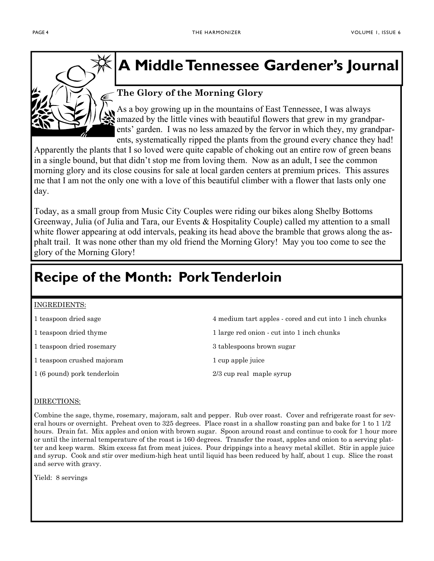

### **A Middle Tennessee Gardener's Journal**

### **The Glory of the Morning Glory**

As a boy growing up in the mountains of East Tennessee, I was always amazed by the little vines with beautiful flowers that grew in my grandparents' garden. I was no less amazed by the fervor in which they, my grandparents, systematically ripped the plants from the ground every chance they had!

Apparently the plants that I so loved were quite capable of choking out an entire row of green beans in a single bound, but that didn't stop me from loving them. Now as an adult, I see the common morning glory and its close cousins for sale at local garden centers at premium prices. This assures me that I am not the only one with a love of this beautiful climber with a flower that lasts only one day.

Today, as a small group from Music City Couples were riding our bikes along Shelby Bottoms Greenway, Julia (of Julia and Tara, our Events & Hospitality Couple) called my attention to a small white flower appearing at odd intervals, peaking its head above the bramble that grows along the asphalt trail. It was none other than my old friend the Morning Glory! May you too come to see the glory of the Morning Glory!

### **Recipe of the Month: Pork Tenderloin**

#### INGREDIENTS:

- 
- 
- 1 teaspoon dried rosemary and the set of  $\alpha$  and  $\alpha$  stables as a stable sugar
- 1 teaspoon crushed majoram 1 cup apple juice
- 1 (6 pound) pork tenderloin 2/3 cup real maple syrup
- 1 teaspoon dried sage 4 medium tart apples cored and cut into 1 inch chunks
- 1 teaspoon dried thyme 1 large red onion cut into 1 inch chunks
	-
	-
	-

### DIRECTIONS:

Combine the sage, thyme, rosemary, majoram, salt and pepper. Rub over roast. Cover and refrigerate roast for several hours or overnight. Preheat oven to 325 degrees. Place roast in a shallow roasting pan and bake for 1 to 1 1/2 hours. Drain fat. Mix apples and onion with brown sugar. Spoon around roast and continue to cook for 1 hour more or until the internal temperature of the roast is 160 degrees. Transfer the roast, apples and onion to a serving platter and keep warm. Skim excess fat from meat juices. Pour drippings into a heavy metal skillet. Stir in apple juice and syrup. Cook and stir over medium-high heat until liquid has been reduced by half, about 1 cup. Slice the roast and serve with gravy.

Yield: 8 servings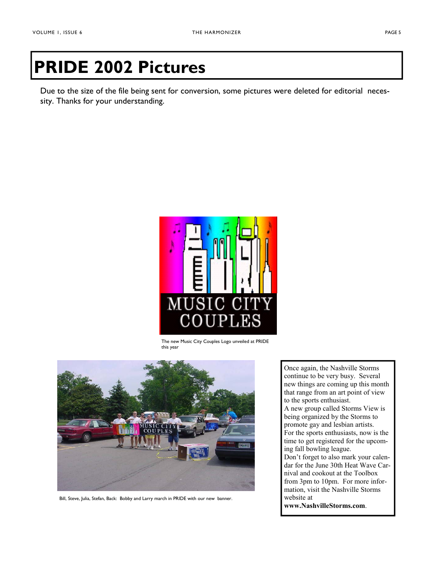# **PRIDE 2002 Pictures**

Due to the size of the file being sent for conversion, some pictures were deleted for editorial necessity. Thanks for your understanding.



The new Music City Couples Logo unveiled at PRIDE this year



Bill, Steve, Julia, Stefan, Back: Bobby and Larry march in PRIDE with our new banner.

Once again, the Nashville Storms continue to be very busy. Several new things are coming up this month that range from an art point of view to the sports enthusiast. A new group called Storms View is being organized by the Storms to promote gay and lesbian artists. For the sports enthusiasts, now is the time to get registered for the upcoming fall bowling league. Don't forget to also mark your calendar for the June 30th Heat Wave Carnival and cookout at the Toolbox from 3pm to 10pm. For more information, visit the Nashville Storms website at **www.NashvilleStorms.com**.